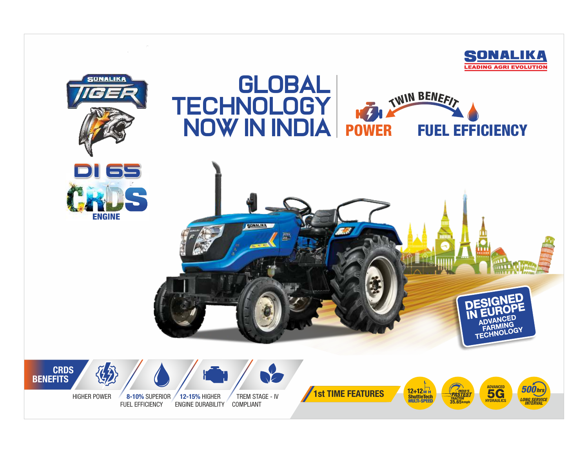